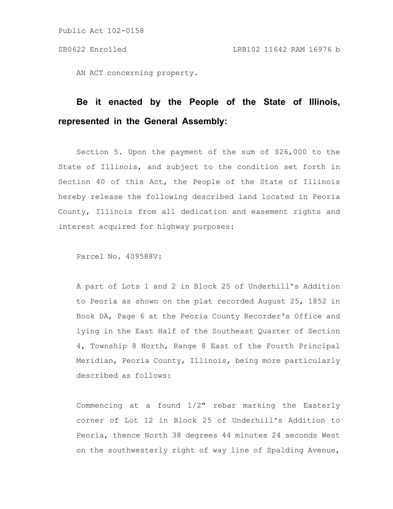AN ACT concerning property.

# **Be it enacted by the People of the State of Illinois, represented in the General Assembly:**

Section 5. Upon the payment of the sum of \$26,000 to the State of Illinois, and subject to the condition set forth in Section 40 of this Act, the People of the State of Illinois hereby release the following described land located in Peoria County, Illinois from all dedication and easement rights and interest acquired for highway purposes:

Parcel No. 409588V:

A part of Lots 1 and 2 in Block 25 of Underhill's Addition to Peoria as shown on the plat recorded August 25, 1852 in Book DA, Page 6 at the Peoria County Recorder's Office and lying in the East Half of the Southeast Quarter of Section 4, Township 8 North, Range 8 East of the Fourth Principal Meridian, Peoria County, Illinois, being more particularly described as follows:

Commencing at a found 1/2" rebar marking the Easterly corner of Lot 12 in Block 25 of Underhill's Addition to Peoria, thence North 38 degrees 44 minutes 24 seconds West on the southwesterly right of way line of Spalding Avenue,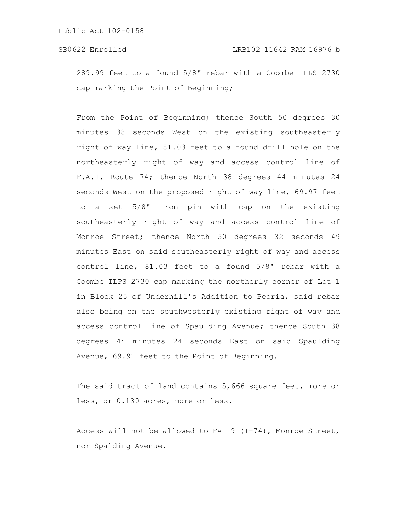289.99 feet to a found 5/8" rebar with a Coombe IPLS 2730 cap marking the Point of Beginning;

From the Point of Beginning; thence South 50 degrees 30 minutes 38 seconds West on the existing southeasterly right of way line, 81.03 feet to a found drill hole on the northeasterly right of way and access control line of F.A.I. Route 74; thence North 38 degrees 44 minutes 24 seconds West on the proposed right of way line, 69.97 feet to a set 5/8" iron pin with cap on the existing southeasterly right of way and access control line of Monroe Street; thence North 50 degrees 32 seconds 49 minutes East on said southeasterly right of way and access control line, 81.03 feet to a found 5/8" rebar with a Coombe ILPS 2730 cap marking the northerly corner of Lot 1 in Block 25 of Underhill's Addition to Peoria, said rebar also being on the southwesterly existing right of way and access control line of Spaulding Avenue; thence South 38 degrees 44 minutes 24 seconds East on said Spaulding Avenue, 69.91 feet to the Point of Beginning.

The said tract of land contains 5,666 square feet, more or less, or 0.130 acres, more or less.

Access will not be allowed to FAI 9 (I-74), Monroe Street, nor Spalding Avenue.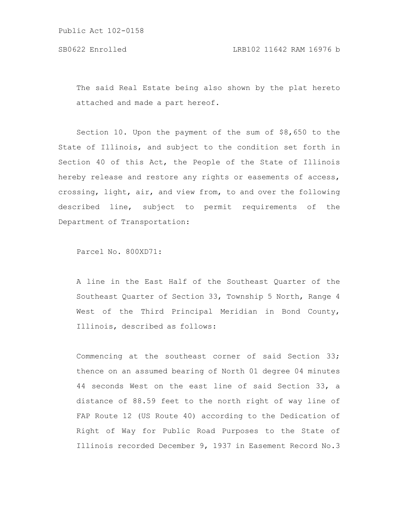The said Real Estate being also shown by the plat hereto attached and made a part hereof.

Section 10. Upon the payment of the sum of \$8,650 to the State of Illinois, and subject to the condition set forth in Section 40 of this Act, the People of the State of Illinois hereby release and restore any rights or easements of access, crossing, light, air, and view from, to and over the following described line, subject to permit requirements of the Department of Transportation:

Parcel No. 800XD71:

A line in the East Half of the Southeast Quarter of the Southeast Quarter of Section 33, Township 5 North, Range 4 West of the Third Principal Meridian in Bond County, Illinois, described as follows:

Commencing at the southeast corner of said Section 33; thence on an assumed bearing of North 01 degree 04 minutes 44 seconds West on the east line of said Section 33, a distance of 88.59 feet to the north right of way line of FAP Route 12 (US Route 40) according to the Dedication of Right of Way for Public Road Purposes to the State of Illinois recorded December 9, 1937 in Easement Record No.3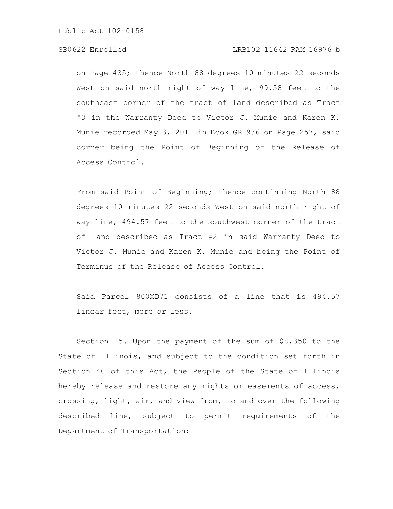## SB0622 Enrolled LRB102 11642 RAM 16976 b

on Page 435; thence North 88 degrees 10 minutes 22 seconds West on said north right of way line, 99.58 feet to the southeast corner of the tract of land described as Tract #3 in the Warranty Deed to Victor J. Munie and Karen K. Munie recorded May 3, 2011 in Book GR 936 on Page 257, said corner being the Point of Beginning of the Release of Access Control.

From said Point of Beginning; thence continuing North 88 degrees 10 minutes 22 seconds West on said north right of way line, 494.57 feet to the southwest corner of the tract of land described as Tract #2 in said Warranty Deed to Victor J. Munie and Karen K. Munie and being the Point of Terminus of the Release of Access Control.

Said Parcel 800XD71 consists of a line that is 494.57 linear feet, more or less.

Section 15. Upon the payment of the sum of \$8,350 to the State of Illinois, and subject to the condition set forth in Section 40 of this Act, the People of the State of Illinois hereby release and restore any rights or easements of access, crossing, light, air, and view from, to and over the following described line, subject to permit requirements of the Department of Transportation: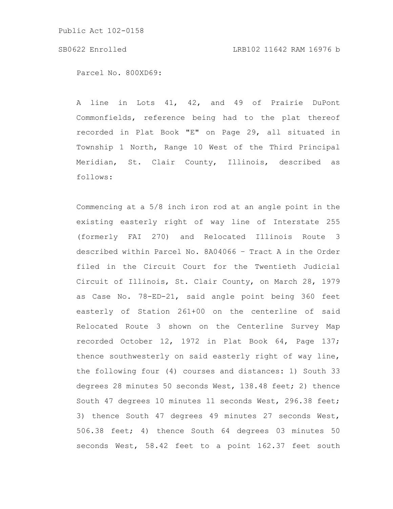SB0622 Enrolled LRB102 11642 RAM 16976 b

Parcel No. 800XD69:

A line in Lots 41, 42, and 49 of Prairie DuPont Commonfields, reference being had to the plat thereof recorded in Plat Book "E" on Page 29, all situated in Township 1 North, Range 10 West of the Third Principal Meridian, St. Clair County, Illinois, described as follows:

Commencing at a 5/8 inch iron rod at an angle point in the existing easterly right of way line of Interstate 255 (formerly FAI 270) and Relocated Illinois Route 3 described within Parcel No. 8A04066 – Tract A in the Order filed in the Circuit Court for the Twentieth Judicial Circuit of Illinois, St. Clair County, on March 28, 1979 as Case No. 78-ED-21, said angle point being 360 feet easterly of Station 261+00 on the centerline of said Relocated Route 3 shown on the Centerline Survey Map recorded October 12, 1972 in Plat Book 64, Page 137; thence southwesterly on said easterly right of way line, the following four (4) courses and distances: 1) South 33 degrees 28 minutes 50 seconds West, 138.48 feet; 2) thence South 47 degrees 10 minutes 11 seconds West, 296.38 feet; 3) thence South 47 degrees 49 minutes 27 seconds West, 506.38 feet; 4) thence South 64 degrees 03 minutes 50 seconds West, 58.42 feet to a point 162.37 feet south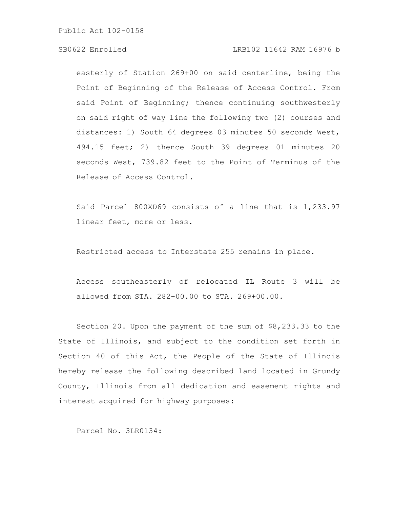## SB0622 Enrolled LRB102 11642 RAM 16976 b

easterly of Station 269+00 on said centerline, being the Point of Beginning of the Release of Access Control. From said Point of Beginning; thence continuing southwesterly on said right of way line the following two (2) courses and distances: 1) South 64 degrees 03 minutes 50 seconds West, 494.15 feet; 2) thence South 39 degrees 01 minutes 20 seconds West, 739.82 feet to the Point of Terminus of the Release of Access Control.

Said Parcel 800XD69 consists of a line that is 1,233.97 linear feet, more or less.

Restricted access to Interstate 255 remains in place.

Access southeasterly of relocated IL Route 3 will be allowed from STA. 282+00.00 to STA. 269+00.00.

Section 20. Upon the payment of the sum of \$8,233.33 to the State of Illinois, and subject to the condition set forth in Section 40 of this Act, the People of the State of Illinois hereby release the following described land located in Grundy County, Illinois from all dedication and easement rights and interest acquired for highway purposes:

Parcel No. 3LR0134: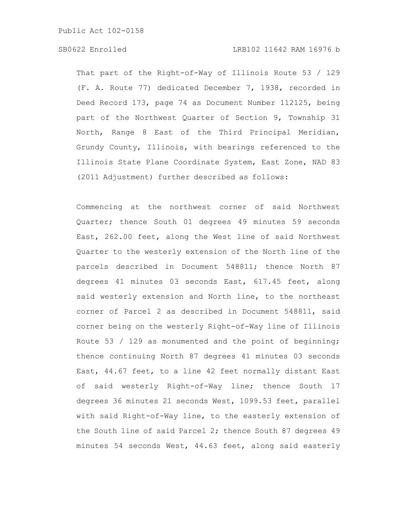## SB0622 Enrolled LRB102 11642 RAM 16976 b

That part of the Right-of-Way of Illinois Route 53 / 129 (F. A. Route 77) dedicated December 7, 1938, recorded in Deed Record 173, page 74 as Document Number 112125, being part of the Northwest Quarter of Section 9, Township 31 North, Range 8 East of the Third Principal Meridian, Grundy County, Illinois, with bearings referenced to the Illinois State Plane Coordinate System, East Zone, NAD 83 (2011 Adjustment) further described as follows:

Commencing at the northwest corner of said Northwest Quarter; thence South 01 degrees 49 minutes 59 seconds East, 262.00 feet, along the West line of said Northwest Quarter to the westerly extension of the North line of the parcels described in Document 548811; thence North 87 degrees 41 minutes 03 seconds East, 617.45 feet, along said westerly extension and North line, to the northeast corner of Parcel 2 as described in Document 548811, said corner being on the westerly Right-of-Way line of Illinois Route 53 / 129 as monumented and the point of beginning; thence continuing North 87 degrees 41 minutes 03 seconds East, 44.67 feet, to a line 42 feet normally distant East of said westerly Right-of-Way line; thence South 17 degrees 36 minutes 21 seconds West, 1099.53 feet, parallel with said Right-of-Way line, to the easterly extension of the South line of said Parcel 2; thence South 87 degrees 49 minutes 54 seconds West, 44.63 feet, along said easterly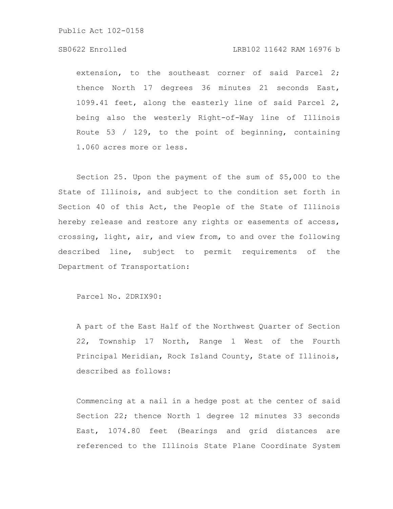## SB0622 Enrolled LRB102 11642 RAM 16976 b

extension, to the southeast corner of said Parcel 2; thence North 17 degrees 36 minutes 21 seconds East, 1099.41 feet, along the easterly line of said Parcel 2, being also the westerly Right-of-Way line of Illinois Route 53 / 129, to the point of beginning, containing 1.060 acres more or less.

Section 25. Upon the payment of the sum of \$5,000 to the State of Illinois, and subject to the condition set forth in Section 40 of this Act, the People of the State of Illinois hereby release and restore any rights or easements of access, crossing, light, air, and view from, to and over the following described line, subject to permit requirements of the Department of Transportation:

Parcel No. 2DRIX90:

A part of the East Half of the Northwest Quarter of Section 22, Township 17 North, Range 1 West of the Fourth Principal Meridian, Rock Island County, State of Illinois, described as follows:

Commencing at a nail in a hedge post at the center of said Section 22; thence North 1 degree 12 minutes 33 seconds East, 1074.80 feet (Bearings and grid distances are referenced to the Illinois State Plane Coordinate System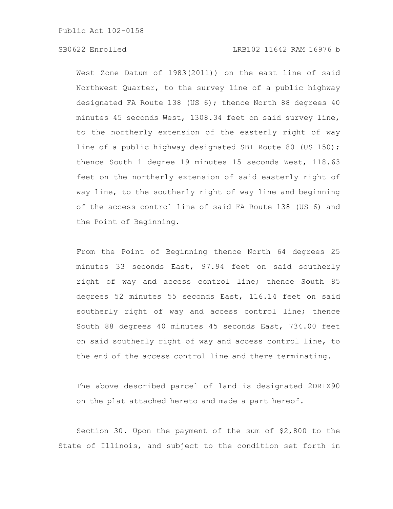# SB0622 Enrolled LRB102 11642 RAM 16976 b

West Zone Datum of 1983(2011)) on the east line of said Northwest Quarter, to the survey line of a public highway designated FA Route 138 (US 6); thence North 88 degrees 40 minutes 45 seconds West, 1308.34 feet on said survey line, to the northerly extension of the easterly right of way line of a public highway designated SBI Route 80 (US 150); thence South 1 degree 19 minutes 15 seconds West, 118.63 feet on the northerly extension of said easterly right of way line, to the southerly right of way line and beginning of the access control line of said FA Route 138 (US 6) and the Point of Beginning.

From the Point of Beginning thence North 64 degrees 25 minutes 33 seconds East, 97.94 feet on said southerly right of way and access control line; thence South 85 degrees 52 minutes 55 seconds East, 116.14 feet on said southerly right of way and access control line; thence South 88 degrees 40 minutes 45 seconds East, 734.00 feet on said southerly right of way and access control line, to the end of the access control line and there terminating.

The above described parcel of land is designated 2DRIX90 on the plat attached hereto and made a part hereof.

Section 30. Upon the payment of the sum of \$2,800 to the State of Illinois, and subject to the condition set forth in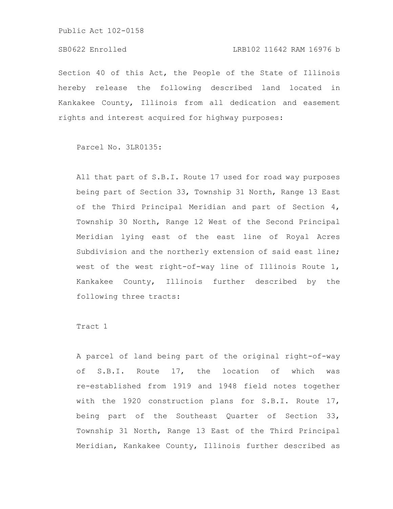## SB0622 Enrolled LRB102 11642 RAM 16976 b

Section 40 of this Act, the People of the State of Illinois hereby release the following described land located in Kankakee County, Illinois from all dedication and easement rights and interest acquired for highway purposes:

Parcel No. 3LR0135:

All that part of S.B.I. Route 17 used for road way purposes being part of Section 33, Township 31 North, Range 13 East of the Third Principal Meridian and part of Section 4, Township 30 North, Range 12 West of the Second Principal Meridian lying east of the east line of Royal Acres Subdivision and the northerly extension of said east line; west of the west right-of-way line of Illinois Route 1, Kankakee County, Illinois further described by the following three tracts:

Tract 1

A parcel of land being part of the original right-of-way of S.B.I. Route 17, the location of which was re-established from 1919 and 1948 field notes together with the 1920 construction plans for S.B.I. Route 17, being part of the Southeast Quarter of Section 33, Township 31 North, Range 13 East of the Third Principal Meridian, Kankakee County, Illinois further described as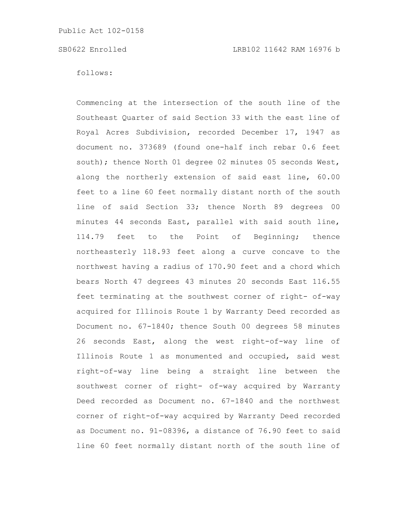follows:

Commencing at the intersection of the south line of the Southeast Quarter of said Section 33 with the east line of Royal Acres Subdivision, recorded December 17, 1947 as document no. 373689 (found one-half inch rebar 0.6 feet south); thence North 01 degree 02 minutes 05 seconds West, along the northerly extension of said east line, 60.00 feet to a line 60 feet normally distant north of the south line of said Section 33; thence North 89 degrees 00 minutes 44 seconds East, parallel with said south line, 114.79 feet to the Point of Beginning; thence northeasterly 118.93 feet along a curve concave to the northwest having a radius of 170.90 feet and a chord which bears North 47 degrees 43 minutes 20 seconds East 116.55 feet terminating at the southwest corner of right- of-way acquired for Illinois Route 1 by Warranty Deed recorded as Document no. 67-1840; thence South 00 degrees 58 minutes 26 seconds East, along the west right-of-way line of Illinois Route 1 as monumented and occupied, said west right-of-way line being a straight line between the southwest corner of right- of-way acquired by Warranty Deed recorded as Document no. 67-1840 and the northwest corner of right-of-way acquired by Warranty Deed recorded as Document no. 91-08396, a distance of 76.90 feet to said line 60 feet normally distant north of the south line of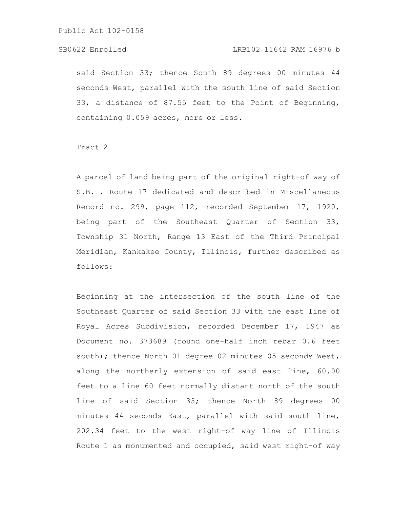## SB0622 Enrolled LRB102 11642 RAM 16976 b

said Section 33; thence South 89 degrees 00 minutes 44 seconds West, parallel with the south line of said Section 33, a distance of 87.55 feet to the Point of Beginning, containing 0.059 acres, more or less.

Tract 2

A parcel of land being part of the original right-of way of S.B.I. Route 17 dedicated and described in Miscellaneous Record no. 299, page 112, recorded September 17, 1920, being part of the Southeast Quarter of Section 33, Township 31 North, Range 13 East of the Third Principal Meridian, Kankakee County, Illinois, further described as follows:

Beginning at the intersection of the south line of the Southeast Quarter of said Section 33 with the east line of Royal Acres Subdivision, recorded December 17, 1947 as Document no. 373689 (found one-half inch rebar 0.6 feet south); thence North 01 degree 02 minutes 05 seconds West, along the northerly extension of said east line, 60.00 feet to a line 60 feet normally distant north of the south line of said Section 33; thence North 89 degrees 00 minutes 44 seconds East, parallel with said south line, 202.34 feet to the west right-of way line of Illinois Route 1 as monumented and occupied, said west right-of way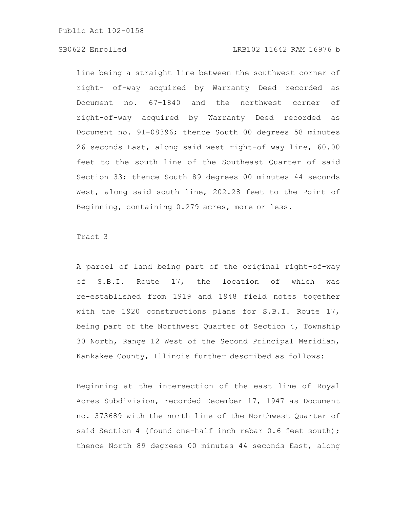## SB0622 Enrolled LRB102 11642 RAM 16976 b

line being a straight line between the southwest corner of right- of-way acquired by Warranty Deed recorded as Document no. 67-1840 and the northwest corner of right-of-way acquired by Warranty Deed recorded as Document no. 91-08396; thence South 00 degrees 58 minutes 26 seconds East, along said west right-of way line, 60.00 feet to the south line of the Southeast Quarter of said Section 33; thence South 89 degrees 00 minutes 44 seconds West, along said south line, 202.28 feet to the Point of Beginning, containing 0.279 acres, more or less.

# Tract 3

A parcel of land being part of the original right-of-way of S.B.I. Route 17, the location of which was re-established from 1919 and 1948 field notes together with the 1920 constructions plans for S.B.I. Route 17, being part of the Northwest Quarter of Section 4, Township 30 North, Range 12 West of the Second Principal Meridian, Kankakee County, Illinois further described as follows:

Beginning at the intersection of the east line of Royal Acres Subdivision, recorded December 17, 1947 as Document no. 373689 with the north line of the Northwest Quarter of said Section 4 (found one-half inch rebar 0.6 feet south); thence North 89 degrees 00 minutes 44 seconds East, along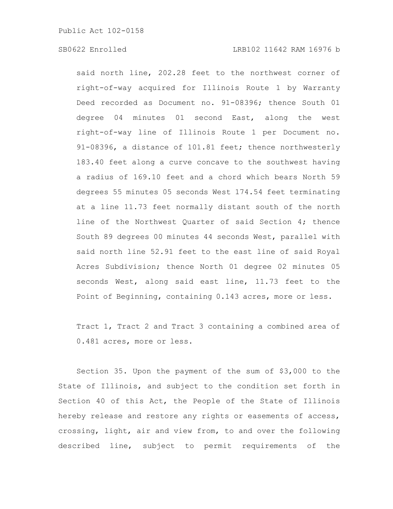said north line, 202.28 feet to the northwest corner of right-of-way acquired for Illinois Route 1 by Warranty Deed recorded as Document no. 91-08396; thence South 01 degree 04 minutes 01 second East, along the west right-of-way line of Illinois Route 1 per Document no. 91-08396, a distance of 101.81 feet; thence northwesterly 183.40 feet along a curve concave to the southwest having a radius of 169.10 feet and a chord which bears North 59 degrees 55 minutes 05 seconds West 174.54 feet terminating at a line 11.73 feet normally distant south of the north line of the Northwest Quarter of said Section 4; thence South 89 degrees 00 minutes 44 seconds West, parallel with said north line 52.91 feet to the east line of said Royal Acres Subdivision; thence North 01 degree 02 minutes 05 seconds West, along said east line, 11.73 feet to the Point of Beginning, containing 0.143 acres, more or less.

Tract 1, Tract 2 and Tract 3 containing a combined area of 0.481 acres, more or less.

Section 35. Upon the payment of the sum of \$3,000 to the State of Illinois, and subject to the condition set forth in Section 40 of this Act, the People of the State of Illinois hereby release and restore any rights or easements of access, crossing, light, air and view from, to and over the following described line, subject to permit requirements of the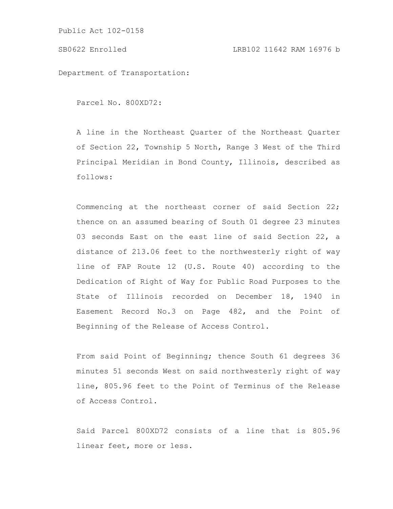Department of Transportation:

Parcel No. 800XD72:

A line in the Northeast Quarter of the Northeast Quarter of Section 22, Township 5 North, Range 3 West of the Third Principal Meridian in Bond County, Illinois, described as follows:

Commencing at the northeast corner of said Section 22; thence on an assumed bearing of South 01 degree 23 minutes 03 seconds East on the east line of said Section 22, a distance of 213.06 feet to the northwesterly right of way line of FAP Route 12 (U.S. Route 40) according to the Dedication of Right of Way for Public Road Purposes to the State of Illinois recorded on December 18, 1940 in Easement Record No.3 on Page 482, and the Point of Beginning of the Release of Access Control.

From said Point of Beginning; thence South 61 degrees 36 minutes 51 seconds West on said northwesterly right of way line, 805.96 feet to the Point of Terminus of the Release of Access Control.

Said Parcel 800XD72 consists of a line that is 805.96 linear feet, more or less.